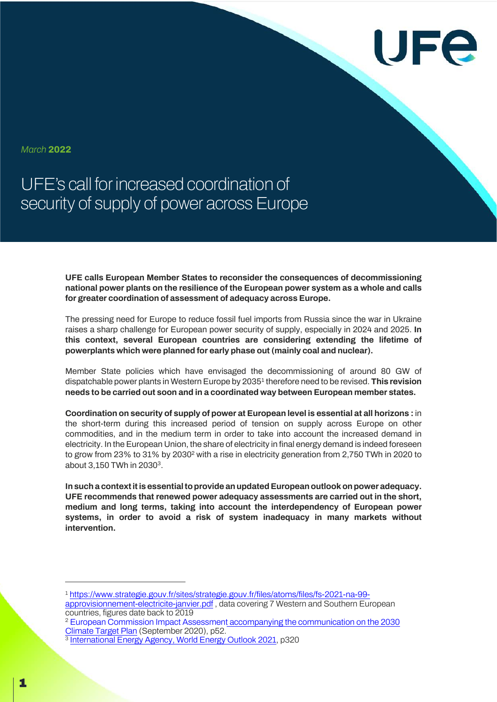

*March* **2022**

UFE's call for increased coordination of security of supply of power across Europe

> **UFE calls European Member States to reconsider the consequences of decommissioning national power plants on the resilience of the European power system as a whole and calls for greater coordination of assessment of adequacy across Europe.**

> The pressing need for Europe to reduce fossil fuel imports from Russia since the war in Ukraine raises a sharp challenge for European power security of supply, especially in 2024 and 2025. **In this context, several European countries are considering extending the lifetime of powerplants which were planned for early phase out (mainly coal and nuclear).**

> Member State policies which have envisaged the decommissioning of around 80 GW of dispatchable power plants in Western Europe by 20351 therefore need to be revised. **This revision needs to be carried out soon and in a coordinated way between European member states.**

> **Coordination on security of supply of power at European level is essential at all horizons :** in the short-term during this increased period of tension on supply across Europe on other commodities, and in the medium term in order to take into account the increased demand in electricity. In the European Union, the share of electricity in final energy demand is indeed foreseen to grow from 23% to 31% by 20302 with a rise in electricity generation from 2,750 TWh in 2020 to about 3,150 TWh in 20303.

> In such a context it is essential to provide an updated European outlook on power adequacy. **UFE recommends that renewed power adequacy assessments are carried out in the short, medium and long terms, taking into account the interdependency of European power systems, in order to avoid a risk of system inadequacy in many markets without intervention.**

<sup>1</sup> https://www.strategie.gouv.fr/sites/strategie.gouv.fr/files/atoms/files/fs-2021-na-99 approvisionnement-electricite-janvier.pdf , data covering 7 Western and Southern European countries, figures date back to 2019

<sup>2</sup> European Commission Impact Assessment accompanying the communication on the 2030 Climate Target Plan (September 2020), p52.

<sup>3</sup> International Energy Agency, World Energy Outlook 2021, p320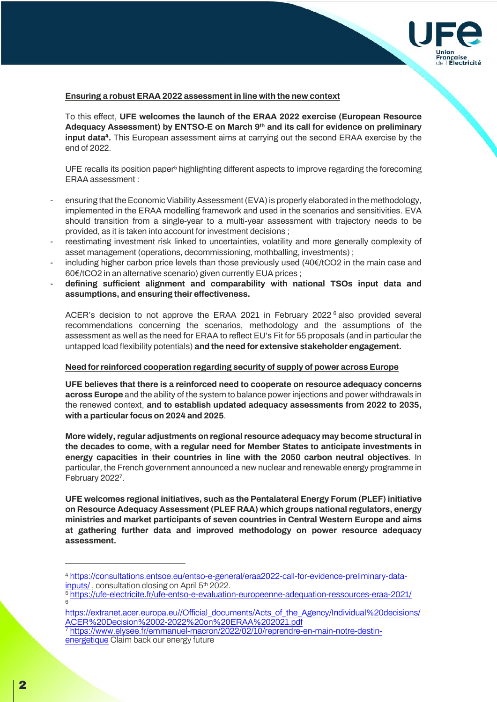

## **Ensuring a robust ERAA 2022 assessment in line with the new context**

To this effect, **UFE welcomes the launch of the ERAA 2022 exercise (European Resource Adequacy Assessment) by ENTSO-E on March 9th and its call for evidence on preliminary input data<sup>4</sup>.** This European assessment aims at carrying out the second ERAA exercise by the end of 2022.

UFE recalls its position paper<sup>5</sup> highlighting different aspects to improve regarding the forecoming ERAA assessment :

- ensuring that the Economic Viability Assessment (EVA)is properly elaborated in the methodology, implemented in the ERAA modelling framework and used in the scenarios and sensitivities. EVA should transition from a single-year to a multi-year assessment with trajectory needs to be provided, as it is taken into account for investment decisions ;
- reestimating investment risk linked to uncertainties, volatility and more generally complexity of asset management (operations, decommissioning, mothballing, investments) ;
- including higher carbon price levels than those previously used  $(40 \in / tCO2)$  in the main case and 60€/tCO2 in an alternative scenario) given currently EUA prices ;
- **defining sufficient alignment and comparability with national TSOs input data and assumptions, and ensuring their effectiveness.**

ACER's decision to not approve the ERAA 2021 in February 2022 $<sup>6</sup>$  also provided several</sup> recommendations concerning the scenarios, methodology and the assumptions of the assessment as well as the need for ERAA to reflect EU's Fit for 55 proposals (and in particular the untapped load flexibility potentials) **and the need for extensive stakeholder engagement.**

## **Need for reinforced cooperation regarding security of supply of power across Europe**

**UFE believes that there is a reinforced need to cooperate on resource adequacy concerns across Europe** and the ability of the system to balance power injections and power withdrawals in the renewed context, **and to establish updated adequacy assessments from 2022 to 2035, with a particular focus on 2024 and 2025**.

**More widely, regular adjustments on regional resource adequacy may become structural in the decades to come, with a regular need for Member States to anticipate investments in energy capacities in their countries in line with the 2050 carbon neutral objectives**. In particular, the French government announced a new nuclear and renewable energy programme in February 20227.

**UFE welcomes regional initiatives, such as the Pentalateral Energy Forum (PLEF) initiative on Resource Adequacy Assessment (PLEF RAA) which groups national regulators, energy ministries and market participants of seven countries in Central Western Europe and aims at gathering further data and improved methodology on power resource adequacy assessment.** 

- <sup>5</sup> https://ufe-electricite.fr/ufe-entso-e-evaluation-europeenne-adequation-ressources-eraa-2021/ 6
- https://extranet.acer.europa.eu//Official\_documents/Acts\_of\_the\_Agency/Individual%20decisions/ ACER%20Decision%2002-2022%20on%20ERAA%202021.pdf
- <sup>7</sup> https://www.elysee.fr/emmanuel-macron/2022/02/10/reprendre-en-main-notre-destinenergetique Claim back our energy future

<sup>4</sup> https://consultations.entsoe.eu/entso-e-general/eraa2022-call-for-evidence-preliminary-datainputs/, consultation closing on April 5<sup>th</sup> 2022.